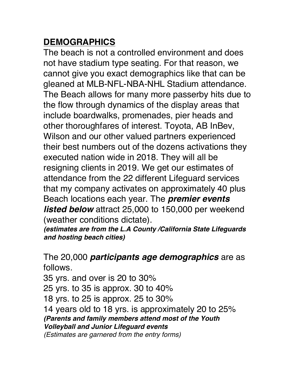## **DEMOGRAPHICS**

The beach is not a controlled environment and does not have stadium type seating. For that reason, we cannot give you exact demographics like that can be gleaned at MLB-NFL-NBA-NHL Stadium attendance. The Beach allows for many more passerby hits due to the flow through dynamics of the display areas that include boardwalks, promenades, pier heads and other thoroughfares of interest. Toyota, AB InBev, Wilson and our other valued partners experienced their best numbers out of the dozens activations they executed nation wide in 2018. They will all be resigning clients in 2019. We get our estimates of attendance from the 22 different Lifeguard services that my company activates on approximately 40 plus Beach locations each year. The *premier events listed below* attract 25,000 to 150,000 per weekend (weather conditions dictate).

*(estimates are from the L.A County /California State Lifeguards and hosting beach cities)*

The 20,000 *participants age demographics* are as follows.

35 yrs. and over is 20 to 30%

25 yrs. to 35 is approx. 30 to 40%

18 yrs. to 25 is approx. 25 to 30%

14 years old to 18 yrs. is approximately 20 to 25% *(Parents and family members attend most of the Youth Volleyball and Junior Lifeguard events*

*(Estimates are garnered from the entry forms)*